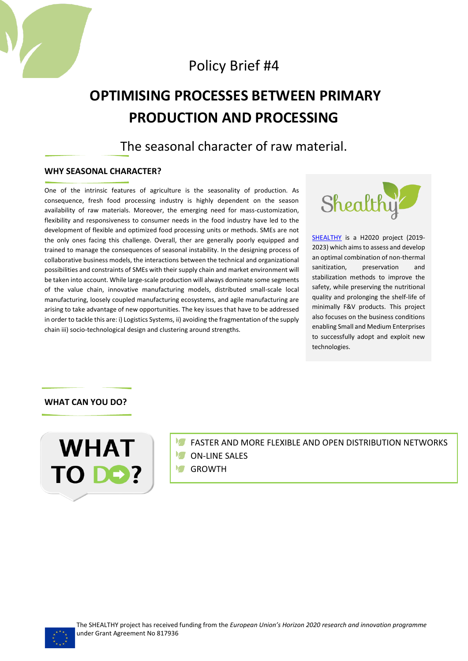

# **OPTIMISING PROCESSES BETWEEN PRIMARY PRODUCTION AND PROCESSING**

The seasonal character of raw material.

## **WHY SEASONAL CHARACTER?**

One of the intrinsic features of agriculture is the seasonality of production. As consequence, fresh food processing industry is highly dependent on the season availability of raw materials. Moreover, the emerging need for mass-customization, flexibility and responsiveness to consumer needs in the food industry have led to the development of flexible and optimized food processing units or methods. SMEs are not the only ones facing this challenge. Overall, ther are generally poorly equipped and trained to manage the consequences of seasonal instability. In the designing process of collaborative business models, the interactions between the technical and organizational possibilities and constraints of SMEs with their supply chain and market environment will be taken into account. While large-scale production will always dominate some segments of the value chain, innovative manufacturing models, distributed small-scale local manufacturing, loosely coupled manufacturing ecosystems, and agile manufacturing are arising to take advantage of new opportunities. The key issues that have to be addressed in order to tackle this are: i) Logistics Systems, ii) avoiding the fragmentation of the supply chain iii) socio-technological design and clustering around strengths.



[SHEALTHY](http://www.shealthy.eu/) is a H2020 project (2019- 2023) which aims to assess and develop an optimal combination of non-thermal sanitization preservation and stabilization methods to improve the safety, while preserving the nutritional quality and prolonging the shelf-life of minimally F&V products. This project also focuses on the business conditions enabling Small and Medium Enterprises to successfully adopt and exploit new technologies.

## **WHAT CAN YOU DO?**



- **FASTER AND MORE FLEXIBLE AND OPEN DISTRIBUTION NETWORKS**
- **M** ON-LINE SALES
- **M** GROWTH